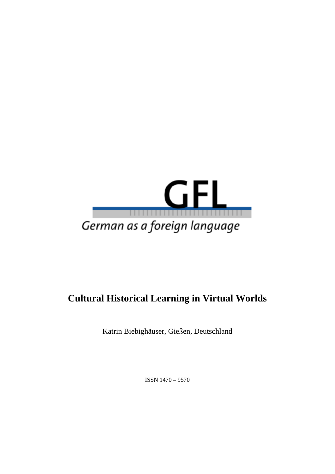

# **Cultural Historical Learning in Virtual Worlds**

Katrin Biebighäuser, Gießen, Deutschland

ISSN 1470 **–** 9570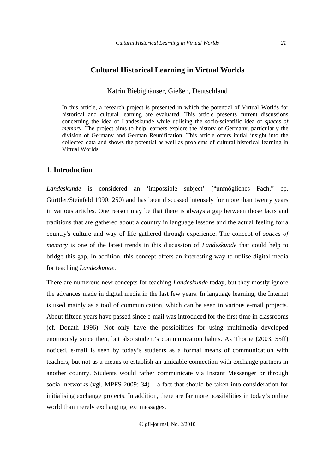# **Cultural Historical Learning in Virtual Worlds**

# Katrin Biebighäuser, Gießen, Deutschland

In this article, a research project is presented in which the potential of Virtual Worlds for historical and cultural learning are evaluated. This article presents current discussions concerning the idea of Landeskunde while utilising the socio-scientific idea of *spaces of memory*. The project aims to help learners explore the history of Germany, particularly the division of Germany and German Reunification. This article offers initial insight into the collected data and shows the potential as well as problems of cultural historical learning in Virtual Worlds.

# **1. Introduction**

*Landeskunde* is considered an 'impossible subject' ("unmögliches Fach," cp. Gürttler/Steinfeld 1990: 250) and has been discussed intensely for more than twenty years in various articles. One reason may be that there is always a gap between those facts and traditions that are gathered about a country in language lessons and the actual feeling for a country's culture and way of life gathered through experience. The concept of *spaces of memory* is one of the latest trends in this discussion of *Landeskunde* that could help to bridge this gap. In addition, this concept offers an interesting way to utilise digital media for teaching *Landeskunde*.

There are numerous new concepts for teaching *Landeskunde* today, but they mostly ignore the advances made in digital media in the last few years. In language learning, the Internet is used mainly as a tool of communication, which can be seen in various e-mail projects. About fifteen years have passed since e-mail was introduced for the first time in classrooms (cf. Donath 1996). Not only have the possibilities for using multimedia developed enormously since then, but also student's communication habits. As Thorne (2003, 55ff) noticed, e-mail is seen by today's students as a formal means of communication with teachers, but not as a means to establish an amicable connection with exchange partners in another country. Students would rather communicate via Instant Messenger or through social networks (vgl. MPFS 2009:  $34$ ) – a fact that should be taken into consideration for initialising exchange projects. In addition, there are far more possibilities in today's online world than merely exchanging text messages.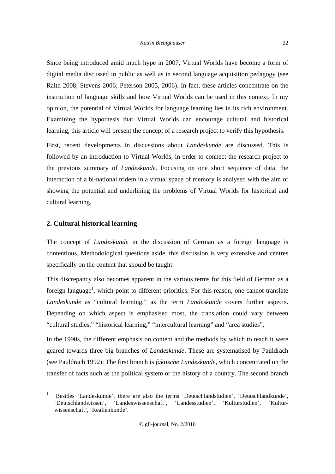Since being introduced amid much hype in 2007, Virtual Worlds have become a form of digital media discussed in public as well as in second language acquisition pedagogy (see Raith 2008; Stevens 2006; Peterson 2005, 2006). In fact, these articles concentrate on the instruction of language skills and how Virtual Worlds can be used in this context. In my opinion, the potential of Virtual Worlds for language learning lies in its rich environment. Examining the hypothesis that Virtual Worlds can encourage cultural and historical learning, this article will present the concept of a research project to verify this hypothesis.

First, recent developments in discussions about *Landeskunde* are discussed. This is followed by an introduction to Virtual Worlds, in order to connect the research project to the previous summary of *Landeskunde.* Focusing on one short sequence of data, the interaction of a bi-national tridem in a virtual space of memory is analysed with the aim of showing the potential and underlining the problems of Virtual Worlds for historical and cultural learning.

# **2. Cultural historical learning**

-

The concept of *Landeskunde* in the discussion of German as a foreign language is contentious. Methodological questions aside, this discussion is very extensive and centres specifically on the content that should be taught.

This discrepancy also becomes apparent in the various terms for this field of German as a foreign language<sup>1</sup>, which point to different priorities. For this reason, one cannot translate *Landeskunde* as "cultural learning," as the term *Landeskunde* covers further aspects. Depending on which aspect is emphasised most, the translation could vary between "cultural studies," "historical learning," "intercultural learning" and "area studies".

In the 1990s, the different emphasis on content and the methods by which to teach it were geared towards three big branches of *Landeskunde*. These are systematised by Pauldrach (see Pauldrach 1992): The first branch is *faktische Landeskunde*, which concentrated on the transfer of facts such as the political system or the history of a country. The second branch

<sup>1</sup> Besides 'Landeskunde', there are also the terms 'Deutschlandstudien', 'Deutschlandkunde', 'Deutschlandwissen', 'Landeswissenschaft', 'Landesstudien', 'Kulturstudien', 'Kulturwissenschaft', 'Realienkunde'.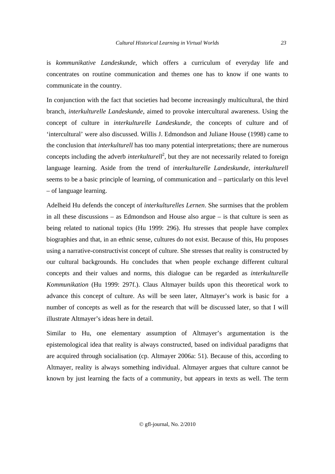is *kommunikative Landeskunde*, which offers a curriculum of everyday life and concentrates on routine communication and themes one has to know if one wants to communicate in the country.

In conjunction with the fact that societies had become increasingly multicultural, the third branch, *interkulturelle Landeskunde*, aimed to provoke intercultural awareness. Using the concept of culture in *interkulturelle Landeskunde*, the concepts of culture and of 'intercultural' were also discussed. Willis J. Edmondson and Juliane House (1998) came to the conclusion that *interkulturell* has too many potential interpretations; there are numerous concepts including the adverb *interkulturell*<sup>2</sup>, but they are not necessarily related to foreign language learning. Aside from the trend of *interkulturelle Landeskunde*, *interkulturell* seems to be a basic principle of learning, of communication and – particularly on this level – of language learning.

Adelheid Hu defends the concept of *interkulturelles Lernen*. She surmises that the problem in all these discussions – as Edmondson and House also argue – is that culture is seen as being related to national topics (Hu 1999: 296). Hu stresses that people have complex biographies and that, in an ethnic sense, cultures do not exist. Because of this, Hu proposes using a narrative-constructivist concept of culture. She stresses that reality is constructed by our cultural backgrounds. Hu concludes that when people exchange different cultural concepts and their values and norms, this dialogue can be regarded as *interkulturelle Kommunikation* (Hu 1999: 297f.). Claus Altmayer builds upon this theoretical work to advance this concept of culture. As will be seen later, Altmayer's work is basic for a number of concepts as well as for the research that will be discussed later, so that I will illustrate Altmayer's ideas here in detail.

Similar to Hu, one elementary assumption of Altmayer's argumentation is the epistemological idea that reality is always constructed, based on individual paradigms that are acquired through socialisation (cp. Altmayer 2006a: 51). Because of this, according to Altmayer, reality is always something individual. Altmayer argues that culture cannot be known by just learning the facts of a community, but appears in texts as well. The term

*23*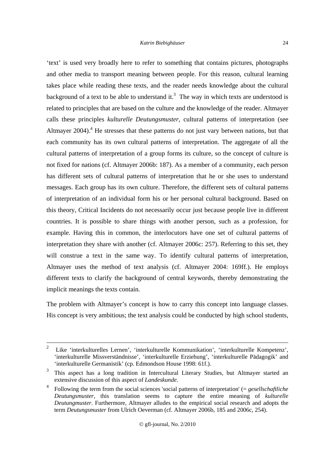#### *Katrin Biebighäuser*

'text' is used very broadly here to refer to something that contains pictures, photographs and other media to transport meaning between people. For this reason, cultural learning takes place while reading these texts, and the reader needs knowledge about the cultural background of a text to be able to understand it.<sup>3</sup> The way in which texts are understood is related to principles that are based on the culture and the knowledge of the reader. Altmayer calls these principles *kulturelle Deutungsmuster*, cultural patterns of interpretation (see Altmayer  $2004$ ).<sup>4</sup> He stresses that these patterns do not just vary between nations, but that each community has its own cultural patterns of interpretation. The aggregate of all the cultural patterns of interpretation of a group forms its culture, so the concept of culture is not fixed for nations (cf. Altmayer 2006b: 187). As a member of a community, each person has different sets of cultural patterns of interpretation that he or she uses to understand messages. Each group has its own culture. Therefore, the different sets of cultural patterns of interpretation of an individual form his or her personal cultural background. Based on this theory, Critical Incidents do not necessarily occur just because people live in different countries. It is possible to share things with another person, such as a profession, for example. Having this in common, the interlocutors have one set of cultural patterns of interpretation they share with another (cf. Altmayer 2006c: 257). Referring to this set, they will construe a text in the same way. To identify cultural patterns of interpretation, Altmayer uses the method of text analysis (cf. Altmayer 2004: 169ff.). He employs different texts to clarify the background of central keywords, thereby demonstrating the implicit meanings the texts contain.

The problem with Altmayer's concept is how to carry this concept into language classes. His concept is very ambitious; the text analysis could be conducted by high school students,

 $\gamma$  Like 'interkulturelles Lernen', 'interkulturelle Kommunikation', 'interkulturelle Kompetenz', 'interkulturelle Missverständnisse', 'interkulturelle Erziehung', 'interkulturelle Pädagogik' and 'interkulturelle Germanistik' (cp. Edmondson House 1998: 61f.).

<sup>3</sup> This aspect has a long tradition in Intercultural Literary Studies, but Altmayer started an extensive discussion of this aspect of *Landeskunde*.

<sup>4</sup> Following the term from the social sciences 'social patterns of interpretation' (= *gesellschaftliche Deutungsmuster*, this translation seems to capture the entire meaning of *kulturelle Deutungmuster*. Furthermore, Altmayer alludes to the empirical social research and adopts the term *Deutungsmuster* from Ulrich Oeverman (cf. Altmayer 2006b, 185 and 2006c, 254).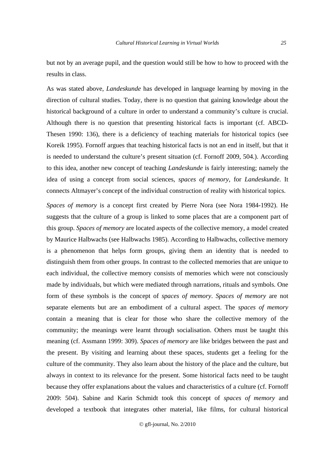but not by an average pupil, and the question would still be how to how to proceed with the results in class.

As was stated above, *Landeskunde* has developed in language learning by moving in the direction of cultural studies. Today, there is no question that gaining knowledge about the historical background of a culture in order to understand a community's culture is crucial. Although there is no question that presenting historical facts is important (cf. ABCD-Thesen 1990: 136), there is a deficiency of teaching materials for historical topics (see Koreik 1995). Fornoff argues that teaching historical facts is not an end in itself, but that it is needed to understand the culture's present situation (cf. Fornoff 2009, 504.). According to this idea, another new concept of teaching *Landeskunde* is fairly interesting; namely the idea of using a concept from social sciences, *spaces of memory*, for *Landeskunde*. It connects Altmayer's concept of the individual construction of reality with historical topics.

*Spaces of memory* is a concept first created by Pierre Nora (see Nora 1984-1992). He suggests that the culture of a group is linked to some places that are a component part of this group. *Spaces of memory* are located aspects of the collective memory, a model created by Maurice Halbwachs (see Halbwachs 1985). According to Halbwachs, collective memory is a phenomenon that helps form groups, giving them an identity that is needed to distinguish them from other groups. In contrast to the collected memories that are unique to each individual, the collective memory consists of memories which were not consciously made by individuals, but which were mediated through narrations, rituals and symbols. One form of these symbols is the concept of *spaces of memory*. *Spaces of memory* are not separate elements but are an embodiment of a cultural aspect. The *spaces of memory* contain a meaning that is clear for those who share the collective memory of the community; the meanings were learnt through socialisation. Others must be taught this meaning (cf. Assmann 1999: 309). *Spaces of memory* are like bridges between the past and the present. By visiting and learning about these spaces, students get a feeling for the culture of the community. They also learn about the history of the place and the culture, but always in context to its relevance for the present. Some historical facts need to be taught because they offer explanations about the values and characteristics of a culture (cf. Fornoff 2009: 504). Sabine and Karin Schmidt took this concept of *spaces of memory* and developed a textbook that integrates other material, like films, for cultural historical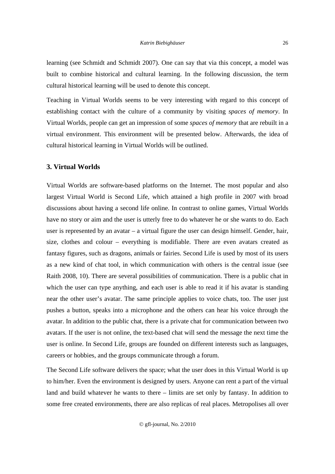learning (see Schmidt and Schmidt 2007). One can say that via this concept, a model was built to combine historical and cultural learning. In the following discussion, the term cultural historical learning will be used to denote this concept.

Teaching in Virtual Worlds seems to be very interesting with regard to this concept of establishing contact with the culture of a community by visiting *spaces of memory*. In Virtual Worlds, people can get an impression of some *spaces of memory* that are rebuilt in a virtual environment. This environment will be presented below. Afterwards, the idea of cultural historical learning in Virtual Worlds will be outlined.

# **3. Virtual Worlds**

Virtual Worlds are software-based platforms on the Internet. The most popular and also largest Virtual World is Second Life, which attained a high profile in 2007 with broad discussions about having a second life online. In contrast to online games, Virtual Worlds have no story or aim and the user is utterly free to do whatever he or she wants to do. Each user is represented by an avatar – a virtual figure the user can design himself. Gender, hair, size, clothes and colour – everything is modifiable. There are even avatars created as fantasy figures, such as dragons, animals or fairies. Second Life is used by most of its users as a new kind of chat tool, in which communication with others is the central issue (see Raith 2008, 10). There are several possibilities of communication. There is a public chat in which the user can type anything, and each user is able to read it if his avatar is standing near the other user's avatar. The same principle applies to voice chats, too. The user just pushes a button, speaks into a microphone and the others can hear his voice through the avatar. In addition to the public chat, there is a private chat for communication between two avatars. If the user is not online, the text-based chat will send the message the next time the user is online. In Second Life, groups are founded on different interests such as languages, careers or hobbies, and the groups communicate through a forum.

The Second Life software delivers the space; what the user does in this Virtual World is up to him/her. Even the environment is designed by users. Anyone can rent a part of the virtual land and build whatever he wants to there – limits are set only by fantasy. In addition to some free created environments, there are also replicas of real places. Metropolises all over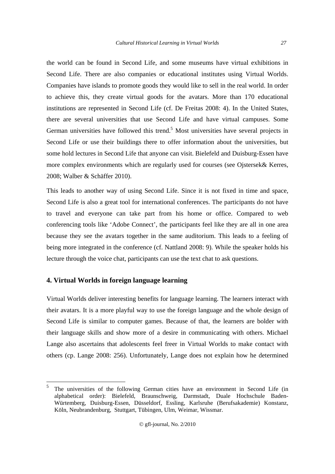the world can be found in Second Life, and some museums have virtual exhibitions in Second Life. There are also companies or educational institutes using Virtual Worlds. Companies have islands to promote goods they would like to sell in the real world. In order to achieve this, they create virtual goods for the avatars. More than 170 educational institutions are represented in Second Life (cf. De Freitas 2008: 4). In the United States, there are several universities that use Second Life and have virtual campuses. Some German universities have followed this trend.<sup>5</sup> Most universities have several projects in Second Life or use their buildings there to offer information about the universities, but some hold lectures in Second Life that anyone can visit. Bielefeld and Duisburg-Essen have more complex environments which are regularly used for courses (see Ojstersek& Kerres, 2008; Walber & Schäffer 2010).

This leads to another way of using Second Life. Since it is not fixed in time and space, Second Life is also a great tool for international conferences. The participants do not have to travel and everyone can take part from his home or office. Compared to web conferencing tools like 'Adobe Connect', the participants feel like they are all in one area because they see the avatars together in the same auditorium. This leads to a feeling of being more integrated in the conference (cf. Nattland 2008: 9). While the speaker holds his lecture through the voice chat, participants can use the text chat to ask questions.

# **4. Virtual Worlds in foreign language learning**

-

Virtual Worlds deliver interesting benefits for language learning. The learners interact with their avatars. It is a more playful way to use the foreign language and the whole design of Second Life is similar to computer games. Because of that, the learners are bolder with their language skills and show more of a desire in communicating with others. Michael Lange also ascertains that adolescents feel freer in Virtual Worlds to make contact with others (cp. Lange 2008: 256). Unfortunately, Lange does not explain how he determined

<sup>5</sup> The universities of the following German cities have an environment in Second Life (in alphabetical order): Bielefeld, Braunschweig, Darmstadt, Duale Hochschule Baden-Würtemberg, Duisburg-Essen, Düsseldorf, Essling, Karlsruhe (Berufsakademie) Konstanz, Köln, Neubrandenburg, Stuttgart, Tübingen, Ulm, Weimar, Wissmar.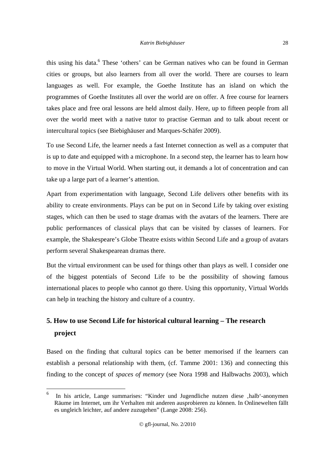this using his data.<sup>6</sup> These 'others' can be German natives who can be found in German cities or groups, but also learners from all over the world. There are courses to learn languages as well. For example, the Goethe Institute has an island on which the programmes of Goethe Institutes all over the world are on offer. A free course for learners takes place and free oral lessons are held almost daily. Here, up to fifteen people from all over the world meet with a native tutor to practise German and to talk about recent or intercultural topics (see Biebighäuser and Marques-Schäfer 2009).

To use Second Life, the learner needs a fast Internet connection as well as a computer that is up to date and equipped with a microphone. In a second step, the learner has to learn how to move in the Virtual World. When starting out, it demands a lot of concentration and can take up a large part of a learner's attention.

Apart from experimentation with language, Second Life delivers other benefits with its ability to create environments. Plays can be put on in Second Life by taking over existing stages, which can then be used to stage dramas with the avatars of the learners. There are public performances of classical plays that can be visited by classes of learners. For example, the Shakespeare's Globe Theatre exists within Second Life and a group of avatars perform several Shakespearean dramas there.

But the virtual environment can be used for things other than plays as well. I consider one of the biggest potentials of Second Life to be the possibility of showing famous international places to people who cannot go there. Using this opportunity, Virtual Worlds can help in teaching the history and culture of a country.

# **5. How to use Second Life for historical cultural learning – The research project**

Based on the finding that cultural topics can be better memorised if the learners can establish a personal relationship with them, (cf. Tamme 2001: 136) and connecting this finding to the concept of *spaces of memory* (see Nora 1998 and Halbwachs 2003), which

 $\frac{1}{6}$ In his article, Lange summarises: "Kinder und Jugendliche nutzen diese ,halb'-anonymen Räume im Internet, um ihr Verhalten mit anderen ausprobieren zu können. In Onlinewelten fällt es ungleich leichter, auf andere zuzugehen" (Lange 2008: 256).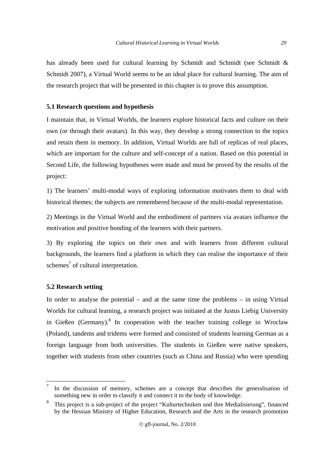has already been used for cultural learning by Schmidt and Schmidt (see Schmidt & Schmidt 2007), a Virtual World seems to be an ideal place for cultural learning. The aim of the research project that will be presented in this chapter is to prove this assumption.

#### **5.1 Research questions and hypothesis**

I maintain that, in Virtual Worlds, the learners explore historical facts and culture on their own (or through their avatars). In this way, they develop a strong connection to the topics and retain them in memory. In addition, Virtual Worlds are full of replicas of real places, which are important for the culture and self-concept of a nation. Based on this potential in Second Life, the following hypotheses were made and must be proved by the results of the project:

1) The learners' multi-modal ways of exploring information motivates them to deal with historical themes; the subjects are remembered because of the multi-modal representation.

2) Meetings in the Virtual World and the embodiment of partners via avatars influence the motivation and positive bonding of the learners with their partners.

3) By exploring the topics on their own and with learners from different cultural backgrounds, the learners find a platform in which they can realise the importance of their schemes<sup>7</sup> of cultural interpretation.

# **5.2 Research setting**

In order to analyse the potential – and at the same time the problems – in using Virtual Worlds for cultural learning, a research project was initiated at the Justus Liebig University in Gießen (Germany).<sup>8</sup> In cooperation with the teacher training college in Wroclaw (Poland), tandems and tridems were formed and consisted of students learning German as a foreign language from both universities. The students in Gießen were native speakers, together with students from other countries (such as China and Russia) who were spending

<sup>–&</sup>lt;br>7 In the discussion of memory, schemes are a concept that describes the generalisation of something new in order to classify it and connect it to the body of knowledge.

<sup>8</sup> This project is a sub-project of the project "Kulturtechniken und ihre Medialisierung", financed by the Hessian Ministry of Higher Education, Research and the Arts in the research promotion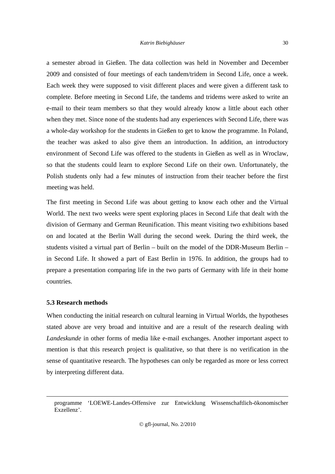#### *Katrin Biebighäuser*

a semester abroad in Gießen. The data collection was held in November and December 2009 and consisted of four meetings of each tandem/tridem in Second Life, once a week. Each week they were supposed to visit different places and were given a different task to complete. Before meeting in Second Life, the tandems and tridems were asked to write an e-mail to their team members so that they would already know a little about each other when they met. Since none of the students had any experiences with Second Life, there was a whole-day workshop for the students in Gießen to get to know the programme. In Poland, the teacher was asked to also give them an introduction. In addition, an introductory environment of Second Life was offered to the students in Gießen as well as in Wroclaw, so that the students could learn to explore Second Life on their own. Unfortunately, the Polish students only had a few minutes of instruction from their teacher before the first meeting was held.

The first meeting in Second Life was about getting to know each other and the Virtual World. The next two weeks were spent exploring places in Second Life that dealt with the division of Germany and German Reunification. This meant visiting two exhibitions based on and located at the Berlin Wall during the second week. During the third week, the students visited a virtual part of Berlin – built on the model of the DDR-Museum Berlin – in Second Life. It showed a part of East Berlin in 1976. In addition, the groups had to prepare a presentation comparing life in the two parts of Germany with life in their home countries.

# **5.3 Research methods**

When conducting the initial research on cultural learning in Virtual Worlds, the hypotheses stated above are very broad and intuitive and are a result of the research dealing with *Landeskunde* in other forms of media like e-mail exchanges. Another important aspect to mention is that this research project is qualitative, so that there is no verification in the sense of quantitative research. The hypotheses can only be regarded as more or less correct by interpreting different data.

programme 'LOEWE-Landes-Offensive zur Entwicklung Wissenschaftlich-ökonomischer Exzellenz'.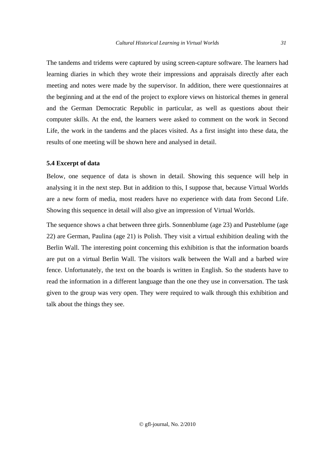The tandems and tridems were captured by using screen-capture software. The learners had learning diaries in which they wrote their impressions and appraisals directly after each meeting and notes were made by the supervisor. In addition, there were questionnaires at the beginning and at the end of the project to explore views on historical themes in general and the German Democratic Republic in particular, as well as questions about their computer skills. At the end, the learners were asked to comment on the work in Second Life, the work in the tandems and the places visited. As a first insight into these data, the results of one meeting will be shown here and analysed in detail.

# **5.4 Excerpt of data**

Below, one sequence of data is shown in detail. Showing this sequence will help in analysing it in the next step. But in addition to this, I suppose that, because Virtual Worlds are a new form of media, most readers have no experience with data from Second Life. Showing this sequence in detail will also give an impression of Virtual Worlds.

The sequence shows a chat between three girls. Sonnenblume (age 23) and Pusteblume (age 22) are German, Paulina (age 21) is Polish. They visit a virtual exhibition dealing with the Berlin Wall. The interesting point concerning this exhibition is that the information boards are put on a virtual Berlin Wall. The visitors walk between the Wall and a barbed wire fence. Unfortunately, the text on the boards is written in English. So the students have to read the information in a different language than the one they use in conversation. The task given to the group was very open. They were required to walk through this exhibition and talk about the things they see.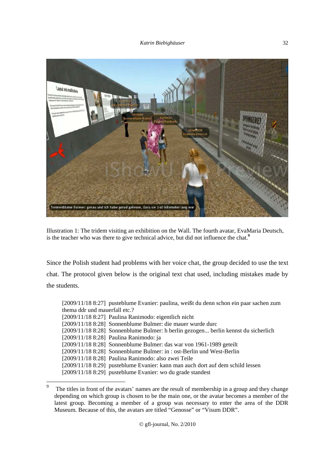

Illustration 1: The tridem visiting an exhibition on the Wall. The fourth avatar, EvaMaria Deutsch, is the teacher who was there to give technical advice, but did not influence the chat.**<sup>9</sup>**

Since the Polish student had problems with her voice chat, the group decided to use the text chat. The protocol given below is the original text chat used, including mistakes made by the students.

| [2009/11/18 8:27] pusteblume Evanier: paulina, weißt du denn schon ein paar sachen zum |
|----------------------------------------------------------------------------------------|
| thema ddr und mauerfall etc.?                                                          |
| $[2009/11/188:27]$ Paulina Ranimodo: eigentlich nicht                                  |
| [2009/11/18 8:28] Sonnenblume Bulmer: die mauer wurde durc                             |
| [2009/11/18 8:28] Sonnenblume Bulmer: h berlin gezogen berlin kennst du sicherlich     |
| [2009/11/18 8:28] Paulina Ranimodo: ja                                                 |
| $[2009/11/188:28]$ Sonnenblume Bulmer: das war von 1961-1989 geteilt                   |
| $[2009/11/188:28]$ Sonnenblume Bulmer: in : ost-Berlin und West-Berlin                 |
| $[2009/11/188:28]$ Paulina Ranimodo: also zwei Teile                                   |
| [2009/11/18 8:29] pusteblume Evanier: kann man auch dort auf dem schild lessen         |
| $[2009/11/188:29]$ pusteblume Evanier: wo du grade standest                            |

<sup>-&</sup>lt;br>9 The titles in front of the avatars' names are the result of membership in a group and they change depending on which group is chosen to be the main one, or the avatar becomes a member of the latest group. Becoming a member of a group was necessary to enter the area of the DDR Museum. Because of this, the avatars are titled "Genosse" or "Visum DDR".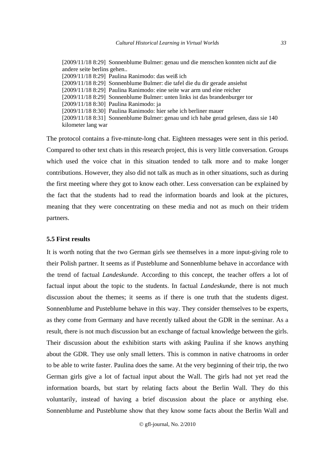[2009/11/18 8:29] Sonnenblume Bulmer: genau und die menschen konnten nicht auf die andere seite berlins gehen.. [2009/11/18 8:29] Paulina Ranimodo: das weiß ich [2009/11/18 8:29] Sonnenblume Bulmer: die tafel die du dir gerade ansiehst [2009/11/18 8:29] Paulina Ranimodo: eine seite war arm und eine reicher [2009/11/18 8:29] Sonnenblume Bulmer: unten links ist das brandenburger tor [2009/11/18 8:30] Paulina Ranimodo: ja [2009/11/18 8:30] Paulina Ranimodo: hier sehe ich berliner mauer [2009/11/18 8:31] Sonnenblume Bulmer: genau und ich habe gerad gelesen, dass sie 140 kilometer lang war

The protocol contains a five-minute-long chat. Eighteen messages were sent in this period. Compared to other text chats in this research project, this is very little conversation. Groups which used the voice chat in this situation tended to talk more and to make longer contributions. However, they also did not talk as much as in other situations, such as during the first meeting where they got to know each other. Less conversation can be explained by the fact that the students had to read the information boards and look at the pictures, meaning that they were concentrating on these media and not as much on their tridem partners.

#### **5.5 First results**

It is worth noting that the two German girls see themselves in a more input-giving role to their Polish partner. It seems as if Pusteblume and Sonnenblume behave in accordance with the trend of factual *Landeskunde*. According to this concept, the teacher offers a lot of factual input about the topic to the students. In factual *Landeskunde*, there is not much discussion about the themes; it seems as if there is one truth that the students digest. Sonnenblume and Pusteblume behave in this way. They consider themselves to be experts, as they come from Germany and have recently talked about the GDR in the seminar. As a result, there is not much discussion but an exchange of factual knowledge between the girls. Their discussion about the exhibition starts with asking Paulina if she knows anything about the GDR. They use only small letters. This is common in native chatrooms in order to be able to write faster. Paulina does the same. At the very beginning of their trip, the two German girls give a lot of factual input about the Wall. The girls had not yet read the information boards, but start by relating facts about the Berlin Wall. They do this voluntarily, instead of having a brief discussion about the place or anything else. Sonnenblume and Pusteblume show that they know some facts about the Berlin Wall and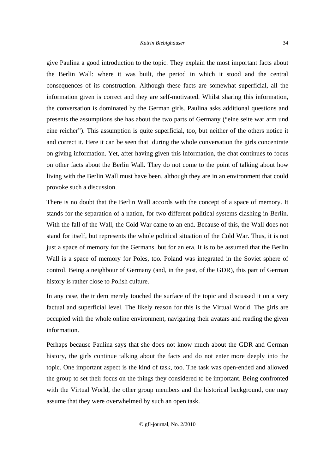give Paulina a good introduction to the topic. They explain the most important facts about the Berlin Wall: where it was built, the period in which it stood and the central consequences of its construction. Although these facts are somewhat superficial, all the information given is correct and they are self-motivated. Whilst sharing this information, the conversation is dominated by the German girls. Paulina asks additional questions and presents the assumptions she has about the two parts of Germany ("eine seite war arm und eine reicher"). This assumption is quite superficial, too, but neither of the others notice it and correct it. Here it can be seen that during the whole conversation the girls concentrate on giving information. Yet, after having given this information, the chat continues to focus on other facts about the Berlin Wall. They do not come to the point of talking about how living with the Berlin Wall must have been, although they are in an environment that could provoke such a discussion.

There is no doubt that the Berlin Wall accords with the concept of a space of memory. It stands for the separation of a nation, for two different political systems clashing in Berlin. With the fall of the Wall, the Cold War came to an end. Because of this, the Wall does not stand for itself, but represents the whole political situation of the Cold War. Thus, it is not just a space of memory for the Germans, but for an era. It is to be assumed that the Berlin Wall is a space of memory for Poles, too. Poland was integrated in the Soviet sphere of control. Being a neighbour of Germany (and, in the past, of the GDR), this part of German history is rather close to Polish culture.

In any case, the tridem merely touched the surface of the topic and discussed it on a very factual and superficial level. The likely reason for this is the Virtual World. The girls are occupied with the whole online environment, navigating their avatars and reading the given information.

Perhaps because Paulina says that she does not know much about the GDR and German history, the girls continue talking about the facts and do not enter more deeply into the topic. One important aspect is the kind of task, too. The task was open-ended and allowed the group to set their focus on the things they considered to be important. Being confronted with the Virtual World, the other group members and the historical background, one may assume that they were overwhelmed by such an open task.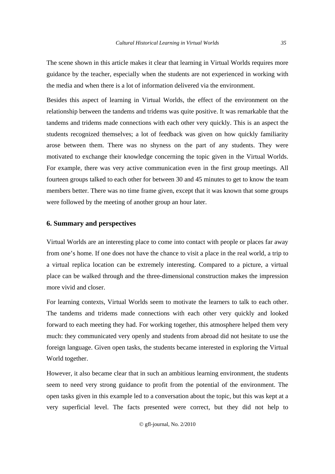The scene shown in this article makes it clear that learning in Virtual Worlds requires more guidance by the teacher, especially when the students are not experienced in working with the media and when there is a lot of information delivered via the environment.

Besides this aspect of learning in Virtual Worlds, the effect of the environment on the relationship between the tandems and tridems was quite positive. It was remarkable that the tandems and tridems made connections with each other very quickly. This is an aspect the students recognized themselves; a lot of feedback was given on how quickly familiarity arose between them. There was no shyness on the part of any students. They were motivated to exchange their knowledge concerning the topic given in the Virtual Worlds. For example, there was very active communication even in the first group meetings. All fourteen groups talked to each other for between 30 and 45 minutes to get to know the team members better. There was no time frame given, except that it was known that some groups were followed by the meeting of another group an hour later.

# **6. Summary and perspectives**

Virtual Worlds are an interesting place to come into contact with people or places far away from one's home. If one does not have the chance to visit a place in the real world, a trip to a virtual replica location can be extremely interesting. Compared to a picture, a virtual place can be walked through and the three-dimensional construction makes the impression more vivid and closer.

For learning contexts, Virtual Worlds seem to motivate the learners to talk to each other. The tandems and tridems made connections with each other very quickly and looked forward to each meeting they had. For working together, this atmosphere helped them very much: they communicated very openly and students from abroad did not hesitate to use the foreign language. Given open tasks, the students became interested in exploring the Virtual World together.

However, it also became clear that in such an ambitious learning environment, the students seem to need very strong guidance to profit from the potential of the environment. The open tasks given in this example led to a conversation about the topic, but this was kept at a very superficial level. The facts presented were correct, but they did not help to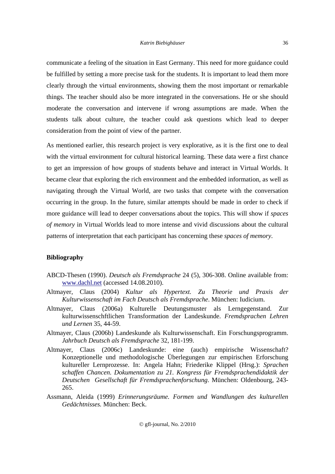communicate a feeling of the situation in East Germany. This need for more guidance could be fulfilled by setting a more precise task for the students. It is important to lead them more clearly through the virtual environments, showing them the most important or remarkable things. The teacher should also be more integrated in the conversations. He or she should moderate the conversation and intervene if wrong assumptions are made. When the students talk about culture, the teacher could ask questions which lead to deeper consideration from the point of view of the partner.

As mentioned earlier, this research project is very explorative, as it is the first one to deal with the virtual environment for cultural historical learning. These data were a first chance to get an impression of how groups of students behave and interact in Virtual Worlds. It became clear that exploring the rich environment and the embedded information, as well as navigating through the Virtual World, are two tasks that compete with the conversation occurring in the group. In the future, similar attempts should be made in order to check if more guidance will lead to deeper conversations about the topics. This will show if *spaces of memory* in Virtual Worlds lead to more intense and vivid discussions about the cultural patterns of interpretation that each participant has concerning these *spaces of memory.*

# **Bibliography**

- ABCD-Thesen (1990). *Deutsch als Fremdsprache* 24 (5), 306-308. Online available from: www.dachl.net (accessed 14.08.2010).
- Altmayer, Claus (2004) *Kultur als Hypertext. Zu Theorie und Praxis der Kulturwissenschaft im Fach Deutsch als Fremdsprache*. München: Iudicium.
- Altmayer, Claus (2006a) Kulturelle Deutungsmuster als Lerngegenstand. Zur kulturwissenschftlichen Transformation der Landeskunde. *Fremdsprachen Lehren und Lernen* 35, 44-59.
- Altmayer, Claus (2006b) Landeskunde als Kulturwissenschaft. Ein Forschungsprogramm. *Jahrbuch Deutsch als Fremdsprache* 32, 181-199.
- Altmayer, Claus (2006c) Landeskunde: eine (auch) empirische Wissenschaft? Konzeptionelle und methodologische Überlegungen zur empirischen Erforschung kultureller Lernprozesse. In: Angela Hahn; Friederike Klippel (Hrsg.): *Sprachen schaffen Chancen. Dokumentation zu 21. Kongress für Fremdsprachendidaktik der Deutschen Gesellschaft für Fremdsprachenforschung*. München: Oldenbourg, 243- 265.
- Assmann, Aleida (1999) *Erinnerungsräume. Formen und Wandlungen des kulturellen Gedächtnisses.* München: Beck.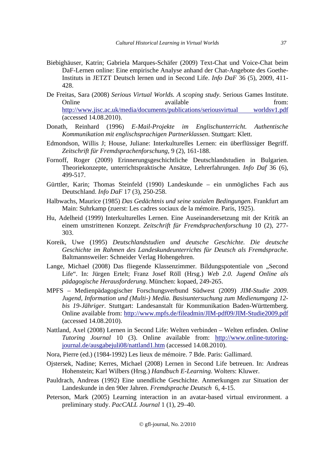- Biebighäuser, Katrin; Gabriela Marques-Schäfer (2009) Text-Chat und Voice-Chat beim DaF-Lernen online: Eine empirische Analyse anhand der Chat-Angebote des Goethe-Instituts in JETZT Deutsch lernen und in Second Life. *Info DaF* 36 (5), 2009, 411- 428.
- De Freitas, Sara (2008) *Serious Virtual Worlds. A scoping study*. Serious Games Institute. Online available from: http://www.jisc.ac.uk/media/documents/publications/seriousvirtual worldsv1.pdf (accessed 14.08.2010).
- Donath, Reinhard (1996) *E-Mail-Projekte im Englischunterricht. Authentische Kommunikation mit englischsprachigen Partnerklassen*. Stuttgart: Klett.
- Edmondson, Willis J; House, Juliane: Interkulturelles Lernen: ein überflüssiger Begriff. *Zeitschrift für Fremdsprachenforschung*, 9 (2), 161-188.
- Fornoff, Roger (2009) Erinnerungsgeschichtliche Deutschlandstudien in Bulgarien. Theoriekonzepte, unterrichtspraktische Ansätze, Lehrerfahrungen. *Info Daf* 36 (6), 499-517.
- Gürttler, Karin; Thomas Steinfeld (1990) Landeskunde ein unmögliches Fach aus Deutschland. *Info DaF* 17 (3), 250-258.
- Halbwachs, Maurice (1985) *Das Gedächtnis und seine sozialen Bedingungen*. Frankfurt am Main: Suhrkamp (zuerst: Les cadres sociaux de la mémoire. Paris, 1925).
- Hu, Adelheid (1999) Interkulturelles Lernen. Eine Auseinandersetzung mit der Kritik an einem umstrittenen Konzept. *Zeitschrift für Fremdsprachenforschung* 10 (2), 277- 303.
- Koreik, Uwe (1995) *Deutschlandstudien und deutsche Geschichte. Die deutsche Geschichte im Rahmen des Landeskundeunterrichts für Deutsch als Fremdsprache.* Baltmannsweiler: Schneider Verlag Hohengehren.
- Lange, Michael (2008) Das fliegende Klassenzimmer. Bildungspotentiale von "Second Life". In: Jürgen Ertelt; Franz Josef Röll (Hrsg.) *Web 2.0. Jugend Online als pädagogische Herausforderung*. München: kopaed, 249-265.
- MPFS Medienpädagogischer Forschungsverbund Südwest (2009) *JIM-Studie 2009. Jugend, Information und (Multi-) Media. Basisuntersuchung zum Medienumgang 12 bis 19-Jähriger*. Stuttgart: Landesanstalt für Kommunikation Baden-Württemberg. Online available from: http://www.mpfs.de/fileadmin/JIM-pdf09/JIM-Studie2009.pdf (accessed 14.08.2010).
- Nattland, Axel (2008) Lernen in Second Life: Welten verbinden Welten erfinden. *Online Tutoring Journal* 10 (3). Online available from: http://www.online-tutoringjournal.de/ausgabejuli08/nattland1.htm (accessed 14.08.2010).
- Nora, Pierre (ed.) (1984-1992) Les lieux de mémoire. 7 Bde. Paris: Gallimard.
- Ojstersek, Nadine; Kerres, Michael (2008) Lernen in Second Life betreuen. In: Andreas Hohenstein; Karl Wilbers (Hrsg.) *Handbuch E-Learning*. Wolters: Kluwer.
- Pauldrach, Andreas (1992) Eine unendliche Geschichte. Anmerkungen zur Situation der Landeskunde in den 90er Jahren. *Fremdsprache Deutsch* 6, 4-15.
- Peterson, Mark (2005) Learning interaction in an avatar-based virtual environment. a preliminary study. *PacCALL Journal* 1 (1), 29–40.